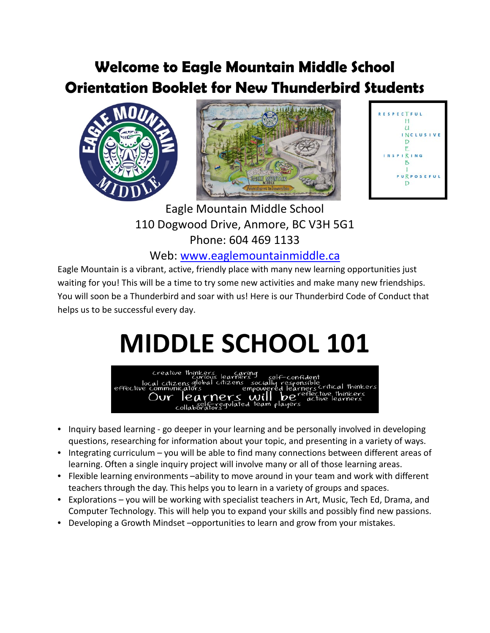#### **Welcome to Eagle Mountain Middle School Orientation Booklet for New Thunderbird Students**





 Eagle Mountain Middle School 110 Dogwood Drive, Anmore, BC V3H 5G1 Phone: 604 469 1133

Web: [www.eaglemountainmiddle.ca](http://www.eaglemountainmiddle.ca/)

Eagle Mountain is a vibrant, active, friendly place with many new learning opportunities just waiting for you! This will be a time to try some new activities and make many new friendships. You will soon be a Thunderbird and soar with us! Here is our Thunderbird Code of Conduct that helps us to be successful every day.

# **MIDDLE SCHOOL 101**



- Inquiry based learning go deeper in your learning and be personally involved in developing questions, researching for information about your topic, and presenting in a variety of ways.
- Integrating curriculum you will be able to find many connections between different areas of learning. Often a single inquiry project will involve many or all of those learning areas.
- Flexible learning environments –ability to move around in your team and work with different teachers through the day. This helps you to learn in a variety of groups and spaces.
- Explorations you will be working with specialist teachers in Art, Music, Tech Ed, Drama, and Computer Technology. This will help you to expand your skills and possibly find new passions.
- Developing a Growth Mindset –opportunities to learn and grow from your mistakes.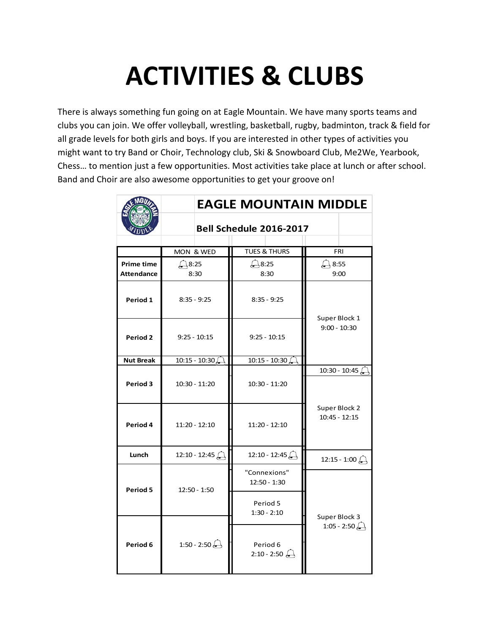### **ACTIVITIES & CLUBS**

There is always something fun going on at Eagle Mountain. We have many sports teams and clubs you can join. We offer volleyball, wrestling, basketball, rugby, badminton, track & field for all grade levels for both girls and boys. If you are interested in other types of activities you might want to try Band or Choir, Technology club, Ski & Snowboard Club, Me2We, Yearbook, Chess… to mention just a few opportunities. Most activities take place at lunch or after school. Band and Choir are also awesome opportunities to get your groove on!

|                                        | <b>EAGLE MOUNTAIN MIDDLE</b>  |                              |                                  |
|----------------------------------------|-------------------------------|------------------------------|----------------------------------|
|                                        | Bell Schedule 2016-2017       |                              |                                  |
|                                        | MON & WED                     | <b>TUES &amp; THURS</b>      | <b>FRI</b>                       |
| <b>Prime time</b><br><b>Attendance</b> | $\bigtriangleup$ 8:25<br>8:30 | Д8:25<br>8:30                | $\rightarrow$ 8:55<br>9:00       |
| Period 1                               | $8:35 - 9:25$                 | $8:35 - 9:25$                |                                  |
| Period 2                               | $9:25 - 10:15$                | $9:25 - 10:15$               | Super Block 1<br>$9:00 - 10:30$  |
| <b>Nut Break</b>                       | $10:15 - 10:30$               | $10:15 - 10:30$              |                                  |
| Period 3                               | $10:30 - 11:20$               | $10:30 - 11:20$              | 10:30 - 10:45 $\bigcap$          |
| Period 4                               | $11:20 - 12:10$               | $11:20 - 12:10$              | Super Block 2<br>$10:45 - 12:15$ |
| Lunch                                  | 12:10 - 12:45                 | 12:10 - 12:45                | 12:15 - 1:00 $\bigoplus$         |
| Period 5                               | 12:50 - 1:50                  | "Connexions"<br>12:50 - 1:30 | Super Block 3                    |
|                                        |                               | Period 5<br>$1:30 - 2:10$    |                                  |
| Period 6                               | 1:50 - 2:50                   | Period 6<br>$2:10 - 2:50$    | 1:05 - 2:50                      |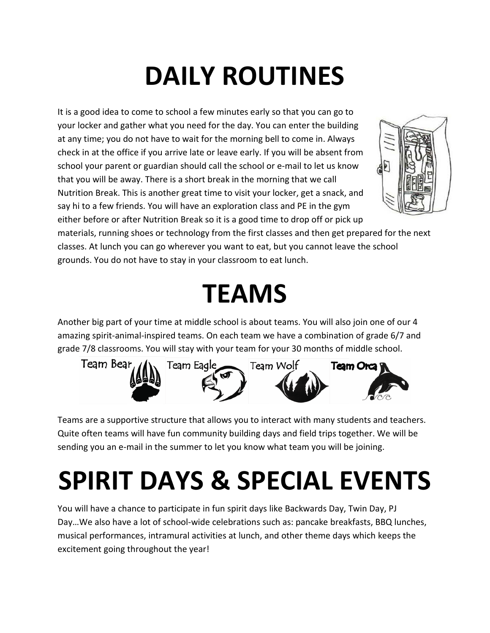# **DAILY ROUTINES**

It is a good idea to come to school a few minutes early so that you can go to your locker and gather what you need for the day. You can enter the building at any time; you do not have to wait for the morning bell to come in. Always check in at the office if you arrive late or leave early. If you will be absent from school your parent or guardian should call the school or e-mail to let us know that you will be away. There is a short break in the morning that we call Nutrition Break. This is another great time to visit your locker, get a snack, and say hi to a few friends. You will have an exploration class and PE in the gym either before or after Nutrition Break so it is a good time to drop off or pick up



materials, running shoes or technology from the first classes and then get prepared for the next classes. At lunch you can go wherever you want to eat, but you cannot leave the school grounds. You do not have to stay in your classroom to eat lunch.

#### **TEAMS**

Another big part of your time at middle school is about teams. You will also join one of our 4 amazing spirit-animal-inspired teams. On each team we have a combination of grade 6/7 and grade 7/8 classrooms. You will stay with your team for your 30 months of middle school.



Teams are a supportive structure that allows you to interact with many students and teachers. Quite often teams will have fun community building days and field trips together. We will be sending you an e-mail in the summer to let you know what team you will be joining.

### **SPIRIT DAYS & SPECIAL EVENTS**

You will have a chance to participate in fun spirit days like Backwards Day, Twin Day, PJ Day…We also have a lot of school-wide celebrations such as: pancake breakfasts, BBQ lunches, musical performances, intramural activities at lunch, and other theme days which keeps the excitement going throughout the year!